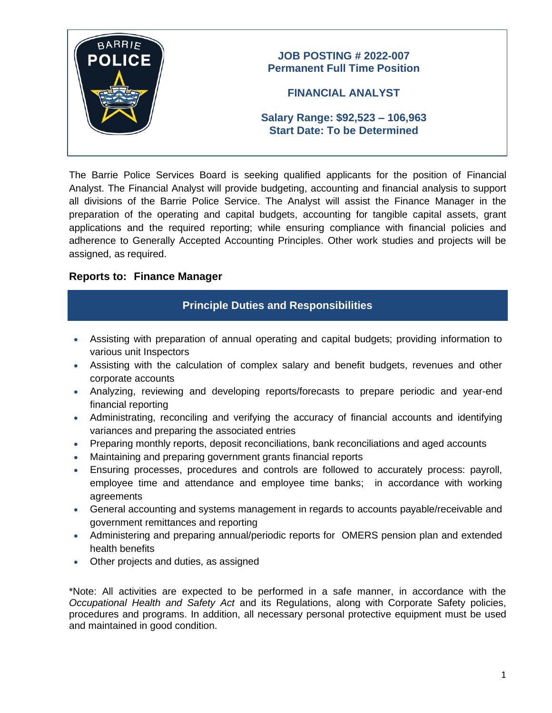

The Barrie Police Services Board is seeking qualified applicants for the position of Financial Analyst. The Financial Analyst will provide budgeting, accounting and financial analysis to support all divisions of the Barrie Police Service. The Analyst will assist the Finance Manager in the preparation of the operating and capital budgets, accounting for tangible capital assets, grant applications and the required reporting; while ensuring compliance with financial policies and adherence to Generally Accepted Accounting Principles. Other work studies and projects will be assigned, as required.

#### **Reports to: Finance Manager**

## **Principle Duties and Responsibilities**

- Assisting with preparation of annual operating and capital budgets; providing information to various unit Inspectors
- Assisting with the calculation of complex salary and benefit budgets, revenues and other corporate accounts
- Analyzing, reviewing and developing reports/forecasts to prepare periodic and year-end financial reporting
- Administrating, reconciling and verifying the accuracy of financial accounts and identifying variances and preparing the associated entries
- Preparing monthly reports, deposit reconciliations, bank reconciliations and aged accounts
- Maintaining and preparing government grants financial reports
- Ensuring processes, procedures and controls are followed to accurately process: payroll, employee time and attendance and employee time banks; in accordance with working agreements
- General accounting and systems management in regards to accounts payable/receivable and government remittances and reporting
- Administering and preparing annual/periodic reports for OMERS pension plan and extended health benefits
- Other projects and duties, as assigned

\*Note: All activities are expected to be performed in a safe manner, in accordance with the *Occupational Health and Safety Act* and its Regulations, along with Corporate Safety policies, procedures and programs. In addition, all necessary personal protective equipment must be used and maintained in good condition.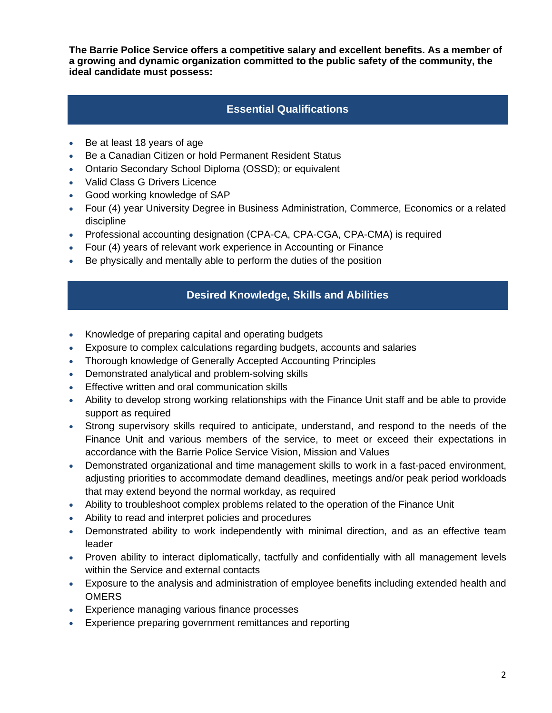**The Barrie Police Service offers a competitive salary and excellent benefits. As a member of a growing and dynamic organization committed to the public safety of the community, the ideal candidate must possess:**

## **Essential Qualifications**

- Be at least 18 years of age
- Be a Canadian Citizen or hold Permanent Resident Status
- Ontario Secondary School Diploma (OSSD); or equivalent
- Valid Class G Drivers Licence
- Good working knowledge of SAP
- Four (4) year University Degree in Business Administration, Commerce, Economics or a related discipline
- Professional accounting designation (CPA-CA, CPA-CGA, CPA-CMA) is required
- Four (4) years of relevant work experience in Accounting or Finance
- Be physically and mentally able to perform the duties of the position

## **Desired Knowledge, Skills and Abilities**

- Knowledge of preparing capital and operating budgets
- Exposure to complex calculations regarding budgets, accounts and salaries
- Thorough knowledge of Generally Accepted Accounting Principles
- Demonstrated analytical and problem-solving skills
- Effective written and oral communication skills
- Ability to develop strong working relationships with the Finance Unit staff and be able to provide support as required
- Strong supervisory skills required to anticipate, understand, and respond to the needs of the Finance Unit and various members of the service, to meet or exceed their expectations in accordance with the Barrie Police Service Vision, Mission and Values
- Demonstrated organizational and time management skills to work in a fast-paced environment, adjusting priorities to accommodate demand deadlines, meetings and/or peak period workloads that may extend beyond the normal workday, as required
- Ability to troubleshoot complex problems related to the operation of the Finance Unit
- Ability to read and interpret policies and procedures
- Demonstrated ability to work independently with minimal direction, and as an effective team leader
- Proven ability to interact diplomatically, tactfully and confidentially with all management levels within the Service and external contacts
- Exposure to the analysis and administration of employee benefits including extended health and **OMERS**
- Experience managing various finance processes
- Experience preparing government remittances and reporting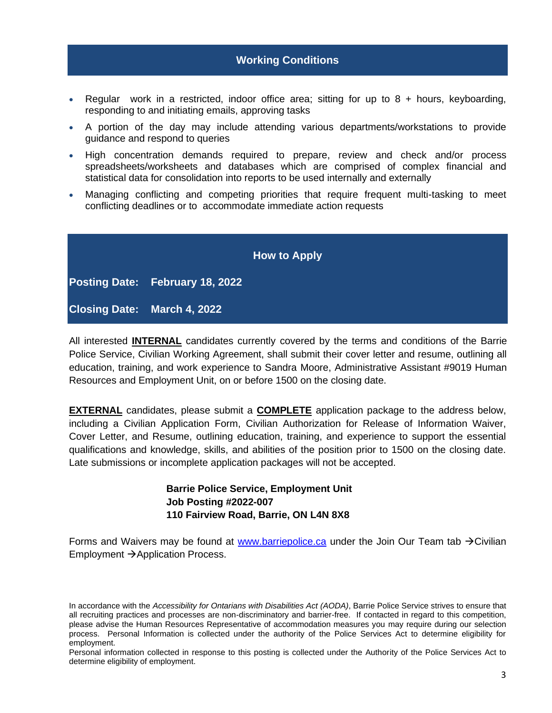#### **Working Conditions**

- Regular work in a restricted, indoor office area; sitting for up to  $8 +$  hours, keyboarding, responding to and initiating emails, approving tasks
- A portion of the day may include attending various departments/workstations to provide guidance and respond to queries
- High concentration demands required to prepare, review and check and/or process spreadsheets/worksheets and databases which are comprised of complex financial and statistical data for consolidation into reports to be used internally and externally
- Managing conflicting and competing priorities that require frequent multi-tasking to meet conflicting deadlines or to accommodate immediate action requests

|                                    | <b>How to Apply</b> |  |
|------------------------------------|---------------------|--|
| Posting Date: February 18, 2022    |                     |  |
| <b>Closing Date: March 4, 2022</b> |                     |  |

All interested **INTERNAL** candidates currently covered by the terms and conditions of the Barrie Police Service, Civilian Working Agreement, shall submit their cover letter and resume, outlining all education, training, and work experience to Sandra Moore, Administrative Assistant #9019 Human Resources and Employment Unit, on or before 1500 on the closing date.

**EXTERNAL** candidates, please submit a **COMPLETE** application package to the address below, including a Civilian Application Form, Civilian Authorization for Release of Information Waiver, Cover Letter, and Resume, outlining education, training, and experience to support the essential qualifications and knowledge, skills, and abilities of the position prior to 1500 on the closing date. Late submissions or incomplete application packages will not be accepted.

> **Barrie Police Service, Employment Unit Job Posting #2022-007 110 Fairview Road, Barrie, ON L4N 8X8**

Forms and Waivers may be found at [www.barriepolice.ca](http://www.barriepolice.ca/) under the Join Our Team tab  $\rightarrow$ Civilian Employment →Application Process.

In accordance with the *Accessibility for Ontarians with Disabilities Act (AODA)*, Barrie Police Service strives to ensure that all recruiting practices and processes are non-discriminatory and barrier-free. If contacted in regard to this competition, please advise the Human Resources Representative of accommodation measures you may require during our selection process. Personal Information is collected under the authority of the Police Services Act to determine eligibility for employment.

Personal information collected in response to this posting is collected under the Authority of the Police Services Act to determine eligibility of employment.